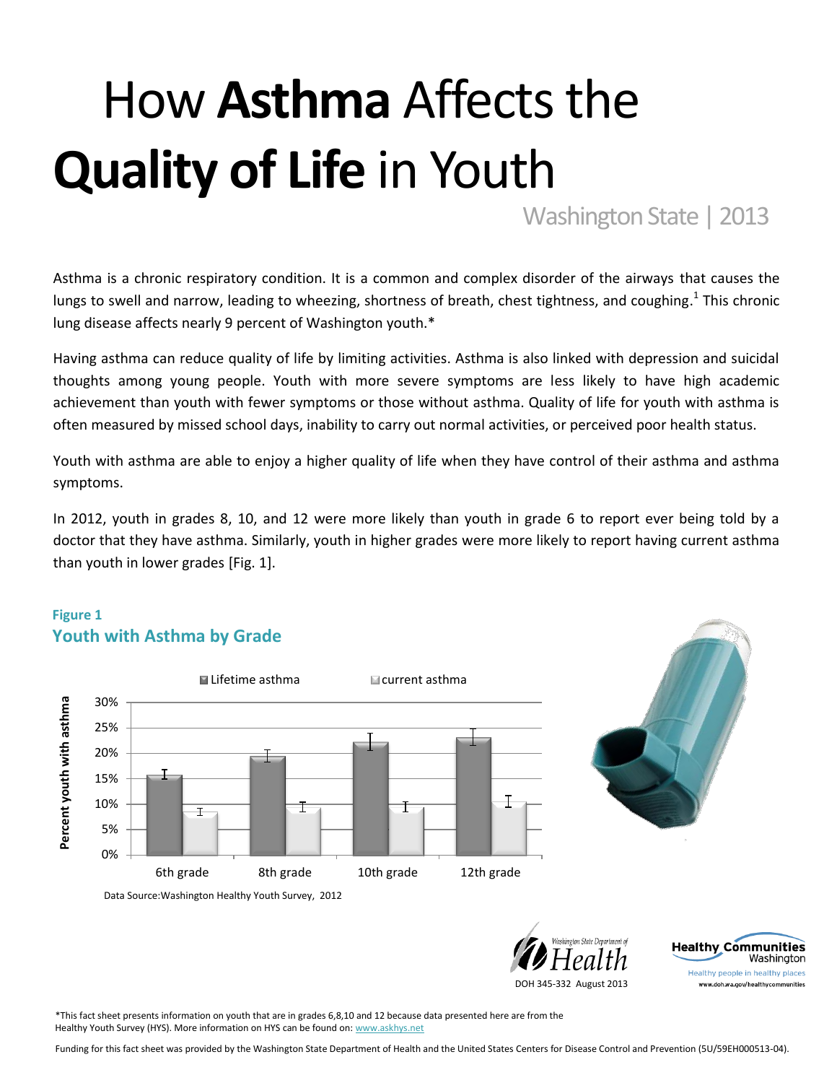# How **Asthma** Affects the **Quality of Life** in Youth

Washington State | 2013

Asthma is a chronic respiratory condition. It is a common and complex disorder of the airways that causes the lungs to swell and narrow, leading to wheezing, shortness of breath, chest tightness, and coughing.<sup>1</sup> This chronic lung disease affects nearly 9 percent of Washington youth.\*

Having asthma can reduce quality of life by limiting activities. Asthma is also linked with depression and suicidal thoughts among young people. Youth with more severe symptoms are less likely to have high academic achievement than youth with fewer symptoms or those without asthma. Quality of life for youth with asthma is often measured by missed school days, inability to carry out normal activities, or perceived poor health status.

Youth with asthma are able to enjoy a higher quality of life when they have control of their asthma and asthma symptoms.

In 2012, youth in grades 8, 10, and 12 were more likely than youth in grade 6 to report ever being told by a doctor that they have asthma. Similarly, youth in higher grades were more likely to report having current asthma than youth in lower grades [Fig. 1].

## **Figure 1 Youth with Asthma by Grade**





**Healthy Communities** 

Healthy people in healthy places www.doh.wa.gov/healthycommunities

Washington

DOH 345-332 August 2013

\*This fact sheet presents information on youth that are in grades 6,8,10 and 12 because data presented here are from the Healthy Youth Survey (HYS). More information on HYS can be found on[: www.askhys.net](http://www.askhys.net/)

Funding for this fact sheet was provided by the Washington State Department of Health and the United States Centers for Disease Control and Prevention (5U/59EH000513-04).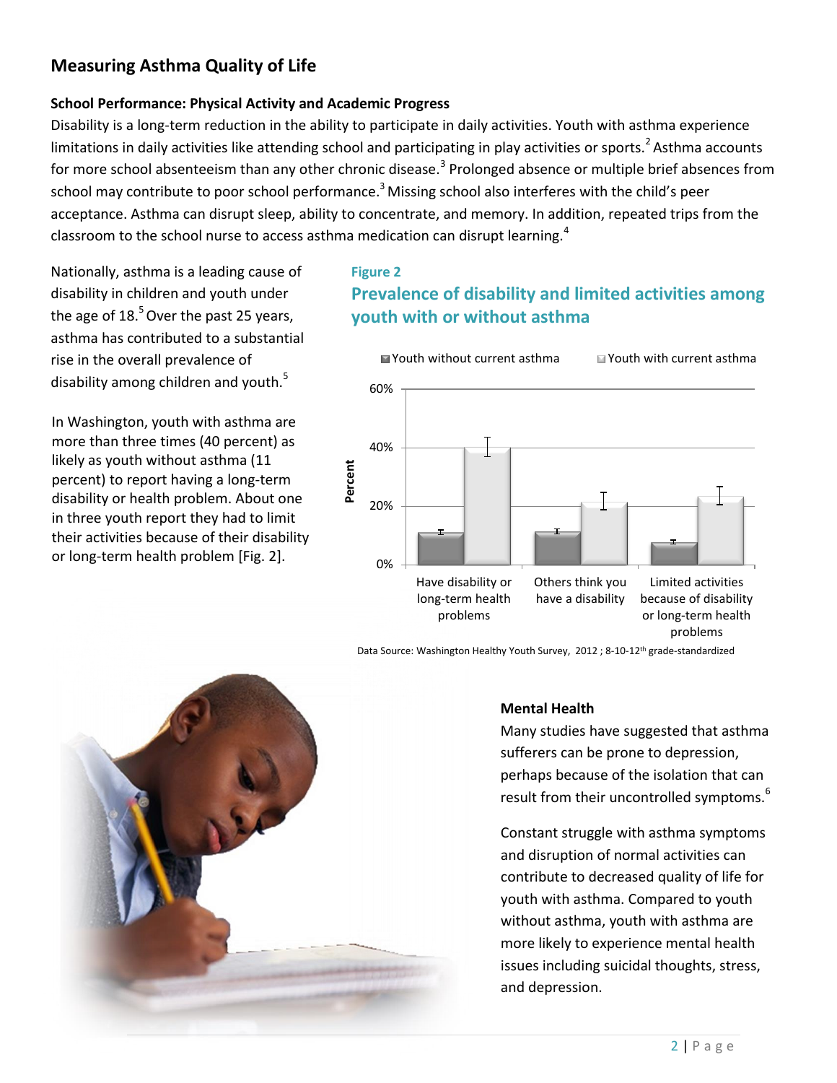# **Measuring Asthma Quality of Life**

## **School Performance: Physical Activity and Academic Progress**

Disability is a long-term reduction in the ability to participate in daily activities. Youth with asthma experience limitations in daily activities like attending school and participating in play activities or sports.<sup>2</sup> Asthma accounts for more school absenteeism than any other chronic disease.<sup>3</sup> Prolonged absence or multiple brief absences from school may contribute to poor school performance.<sup>3</sup> Missing school also interferes with the child's peer acceptance. Asthma can disrupt sleep, ability to concentrate, and memory. In addition, repeated trips from the classroom to the school nurse to access asthma medication can disrupt learning.<sup>4</sup>

Nationally, asthma is a leading cause of disability in children and youth under the age of  $18<sup>5</sup>$  Over the past 25 years, asthma has contributed to a substantial rise in the overall prevalence of disability among children and youth.<sup>5</sup>

In Washington, youth with asthma are more than three times (40 percent) as likely as youth without asthma (11 percent) to report having a long-term disability or health problem. About one in three youth report they had to limit their activities because of their disability or long-term health problem [Fig. 2].

## **Figure 2 Prevalence of disability and limited activities among youth with or without asthma**



Data Source: Washington Healthy Youth Survey, 2012 ; 8-10-12th grade-standardized



#### **Mental Health**

Many studies have suggested that asthma sufferers can be prone to depression, perhaps because of the isolation that can result from their uncontrolled symptoms.<sup>6</sup>

Constant struggle with asthma symptoms and disruption of normal activities can contribute to decreased quality of life for youth with asthma. Compared to youth without asthma, youth with asthma are more likely to experience mental health issues including suicidal thoughts, stress, and depression.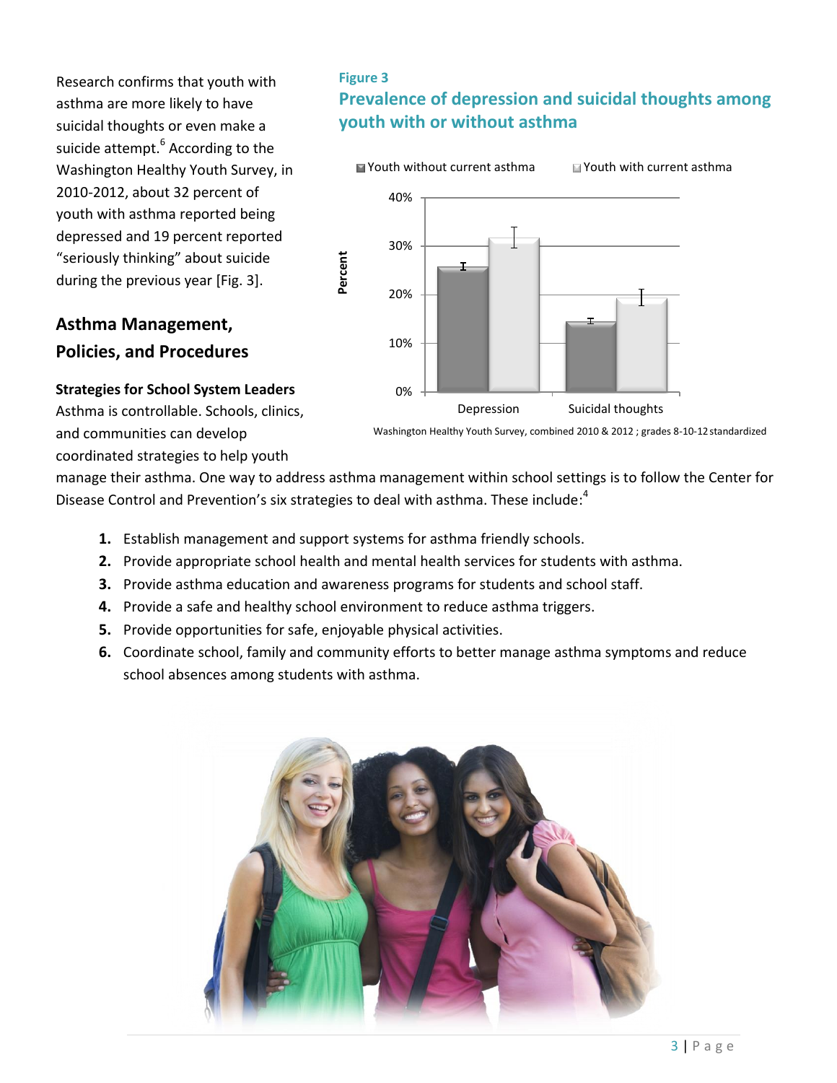Research confirms that youth with asthma are more likely to have suicidal thoughts or even make a suicide attempt.<sup>6</sup> According to the Washington Healthy Youth Survey, in 2010-2012, about 32 percent of youth with asthma reported being depressed and 19 percent reported "seriously thinking" about suicide during the previous year [Fig. 3].

# **Asthma Management, Policies, and Procedures**

## **Figure 3**

# **Prevalence of depression and suicidal thoughts among youth with or without asthma**



**Strategies for School System Leaders** Asthma is controllable. Schools, clinics, and communities can develop coordinated strategies to help youth

manage their asthma. One way to address asthma management within school settings is to follow the Center for Disease Control and Prevention's six strategies to deal with asthma. These include:<sup>4</sup>

- **1.** Establish management and support systems for asthma friendly schools.
- **2.** Provide appropriate school health and mental health services for students with asthma.
- **3.** Provide asthma education and awareness programs for students and school staff.
- **4.** Provide a safe and healthy school environment to reduce asthma triggers.
- **5.** Provide opportunities for safe, enjoyable physical activities.
- **6.** Coordinate school, family and community efforts to better manage asthma symptoms and reduce school absences among students with asthma.